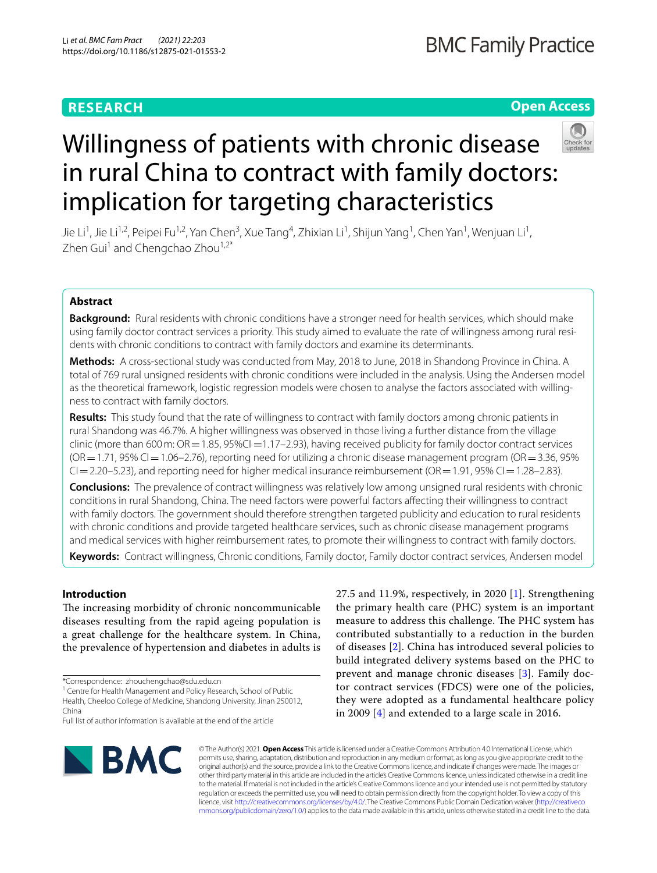# **RESEARCH**

# **Open Access**



# Willingness of patients with chronic disease in rural China to contract with family doctors: implication for targeting characteristics

Jie Li<sup>1</sup>, Jie Li<sup>1,2</sup>, Peipei Fu<sup>1,2</sup>, Yan Chen<sup>3</sup>, Xue Tang<sup>4</sup>, Zhixian Li<sup>1</sup>, Shijun Yang<sup>1</sup>, Chen Yan<sup>1</sup>, Wenjuan Li<sup>1</sup>, Zhen Gui<sup>1</sup> and Chengchao Zhou<sup>1,2\*</sup>

# **Abstract**

**Background:** Rural residents with chronic conditions have a stronger need for health services, which should make using family doctor contract services a priority. This study aimed to evaluate the rate of willingness among rural residents with chronic conditions to contract with family doctors and examine its determinants.

**Methods:** A cross-sectional study was conducted from May, 2018 to June, 2018 in Shandong Province in China. A total of 769 rural unsigned residents with chronic conditions were included in the analysis. Using the Andersen model as the theoretical framework, logistic regression models were chosen to analyse the factors associated with willingness to contract with family doctors.

**Results:** This study found that the rate of willingness to contract with family doctors among chronic patients in rural Shandong was 46.7%. A higher willingness was observed in those living a further distance from the village clinic (more than 600 m:  $OR = 1.85$ , 95%CI = 1.17–2.93), having received publicity for family doctor contract services  $(OR = 1.71, 95\% CI = 1.06 - 2.76)$ , reporting need for utilizing a chronic disease management program  $(OR = 3.36, 95\%$  $Cl = 2.20 - 5.23$ ), and reporting need for higher medical insurance reimbursement (OR=1.91, 95% CI=1.28–2.83).

**Conclusions:** The prevalence of contract willingness was relatively low among unsigned rural residents with chronic conditions in rural Shandong, China. The need factors were powerful factors afecting their willingness to contract with family doctors. The government should therefore strengthen targeted publicity and education to rural residents with chronic conditions and provide targeted healthcare services, such as chronic disease management programs and medical services with higher reimbursement rates, to promote their willingness to contract with family doctors.

**Keywords:** Contract willingness, Chronic conditions, Family doctor, Family doctor contract services, Andersen model

## **Introduction**

The increasing morbidity of chronic noncommunicable diseases resulting from the rapid ageing population is a great challenge for the healthcare system. In China, the prevalence of hypertension and diabetes in adults is

<sup>1</sup> Centre for Health Management and Policy Research, School of Public Health, Cheeloo College of Medicine, Shandong University, Jinan 250012, China

27.5 and 11.9%, respectively, in 2020 [\[1](#page-6-0)]. Strengthening the primary health care (PHC) system is an important measure to address this challenge. The PHC system has contributed substantially to a reduction in the burden of diseases [[2\]](#page-6-1). China has introduced several policies to build integrated delivery systems based on the PHC to prevent and manage chronic diseases [\[3](#page-6-2)]. Family doctor contract services (FDCS) were one of the policies, they were adopted as a fundamental healthcare policy in 2009 [[4\]](#page-6-3) and extended to a large scale in 2016.



© The Author(s) 2021. **Open Access** This article is licensed under a Creative Commons Attribution 4.0 International License, which permits use, sharing, adaptation, distribution and reproduction in any medium or format, as long as you give appropriate credit to the original author(s) and the source, provide a link to the Creative Commons licence, and indicate if changes were made. The images or other third party material in this article are included in the article's Creative Commons licence, unless indicated otherwise in a credit line to the material. If material is not included in the article's Creative Commons licence and your intended use is not permitted by statutory regulation or exceeds the permitted use, you will need to obtain permission directly from the copyright holder. To view a copy of this licence, visit [http://creativecommons.org/licenses/by/4.0/.](http://creativecommons.org/licenses/by/4.0/) The Creative Commons Public Domain Dedication waiver ([http://creativeco](http://creativecommons.org/publicdomain/zero/1.0/) [mmons.org/publicdomain/zero/1.0/](http://creativecommons.org/publicdomain/zero/1.0/)) applies to the data made available in this article, unless otherwise stated in a credit line to the data.

<sup>\*</sup>Correspondence: zhouchengchao@sdu.edu.cn

Full list of author information is available at the end of the article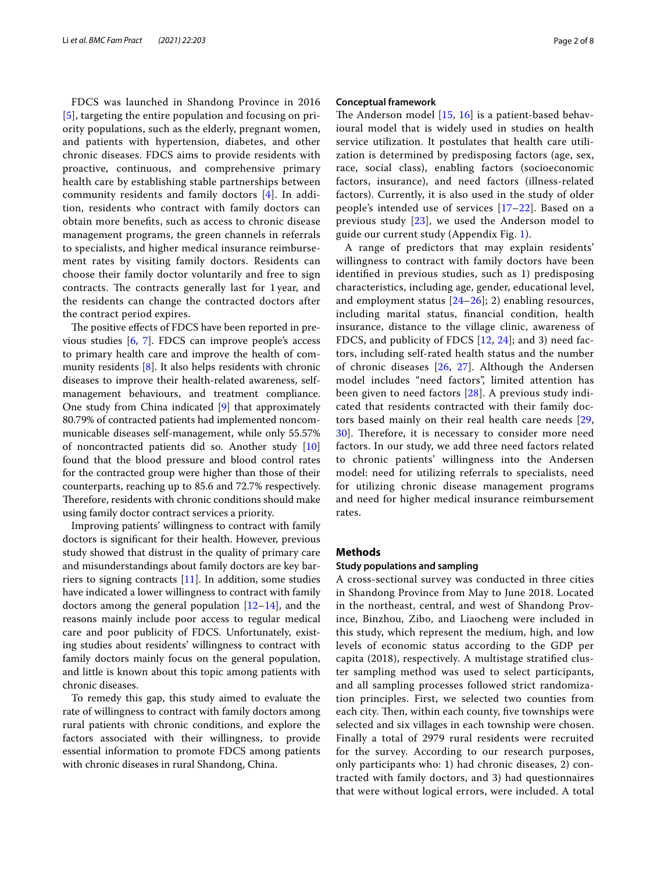FDCS was launched in Shandong Province in 2016 [[5](#page-6-4)], targeting the entire population and focusing on priority populations, such as the elderly, pregnant women, and patients with hypertension, diabetes, and other chronic diseases. FDCS aims to provide residents with proactive, continuous, and comprehensive primary health care by establishing stable partnerships between community residents and family doctors [[4\]](#page-6-3). In addition, residents who contract with family doctors can obtain more benefts, such as access to chronic disease management programs, the green channels in referrals to specialists, and higher medical insurance reimbursement rates by visiting family doctors. Residents can choose their family doctor voluntarily and free to sign contracts. The contracts generally last for 1 year, and the residents can change the contracted doctors after the contract period expires.

The positive effects of FDCS have been reported in previous studies [\[6](#page-6-5), [7](#page-6-6)]. FDCS can improve people's access to primary health care and improve the health of community residents [\[8\]](#page-6-7). It also helps residents with chronic diseases to improve their health-related awareness, selfmanagement behaviours, and treatment compliance. One study from China indicated [[9\]](#page-6-8) that approximately 80.79% of contracted patients had implemented noncommunicable diseases self-management, while only 55.57% of noncontracted patients did so. Another study [[10](#page-6-9)] found that the blood pressure and blood control rates for the contracted group were higher than those of their counterparts, reaching up to 85.6 and 72.7% respectively. Therefore, residents with chronic conditions should make using family doctor contract services a priority.

Improving patients' willingness to contract with family doctors is signifcant for their health. However, previous study showed that distrust in the quality of primary care and misunderstandings about family doctors are key barriers to signing contracts  $[11]$ . In addition, some studies have indicated a lower willingness to contract with family doctors among the general population  $[12-14]$  $[12-14]$ , and the reasons mainly include poor access to regular medical care and poor publicity of FDCS. Unfortunately, existing studies about residents' willingness to contract with family doctors mainly focus on the general population, and little is known about this topic among patients with chronic diseases.

To remedy this gap, this study aimed to evaluate the rate of willingness to contract with family doctors among rural patients with chronic conditions, and explore the factors associated with their willingness, to provide essential information to promote FDCS among patients with chronic diseases in rural Shandong, China.

#### **Conceptual framework**

The Anderson model  $[15, 16]$  $[15, 16]$  $[15, 16]$  $[15, 16]$  $[15, 16]$  is a patient-based behavioural model that is widely used in studies on health service utilization. It postulates that health care utilization is determined by predisposing factors (age, sex, race, social class), enabling factors (socioeconomic factors, insurance), and need factors (illness-related factors). Currently, it is also used in the study of older people's intended use of services [[17–](#page-6-15)[22\]](#page-6-16). Based on a previous study [[23\]](#page-6-17), we used the Anderson model to guide our current study (Appendix Fig. [1](#page-5-0)).

A range of predictors that may explain residents' willingness to contract with family doctors have been identifed in previous studies, such as 1) predisposing characteristics, including age, gender, educational level, and employment status [\[24–](#page-6-18)[26\]](#page-6-19); 2) enabling resources, including marital status, fnancial condition, health insurance, distance to the village clinic, awareness of FDCS, and publicity of FDCS [[12,](#page-6-11) [24](#page-6-18)]; and 3) need factors, including self-rated health status and the number of chronic diseases [\[26](#page-6-19), [27\]](#page-6-20). Although the Andersen model includes "need factors", limited attention has been given to need factors [\[28](#page-7-0)]. A previous study indicated that residents contracted with their family doctors based mainly on their real health care needs [\[29](#page-7-1), [30\]](#page-7-2). Therefore, it is necessary to consider more need factors. In our study, we add three need factors related to chronic patients' willingness into the Andersen model: need for utilizing referrals to specialists, need for utilizing chronic disease management programs and need for higher medical insurance reimbursement rates.

#### **Methods**

#### **Study populations and sampling**

A cross-sectional survey was conducted in three cities in Shandong Province from May to June 2018. Located in the northeast, central, and west of Shandong Province, Binzhou, Zibo, and Liaocheng were included in this study, which represent the medium, high, and low levels of economic status according to the GDP per capita (2018), respectively. A multistage stratifed cluster sampling method was used to select participants, and all sampling processes followed strict randomization principles. First, we selected two counties from each city. Then, within each county, five townships were selected and six villages in each township were chosen. Finally a total of 2979 rural residents were recruited for the survey. According to our research purposes, only participants who: 1) had chronic diseases, 2) contracted with family doctors, and 3) had questionnaires that were without logical errors, were included. A total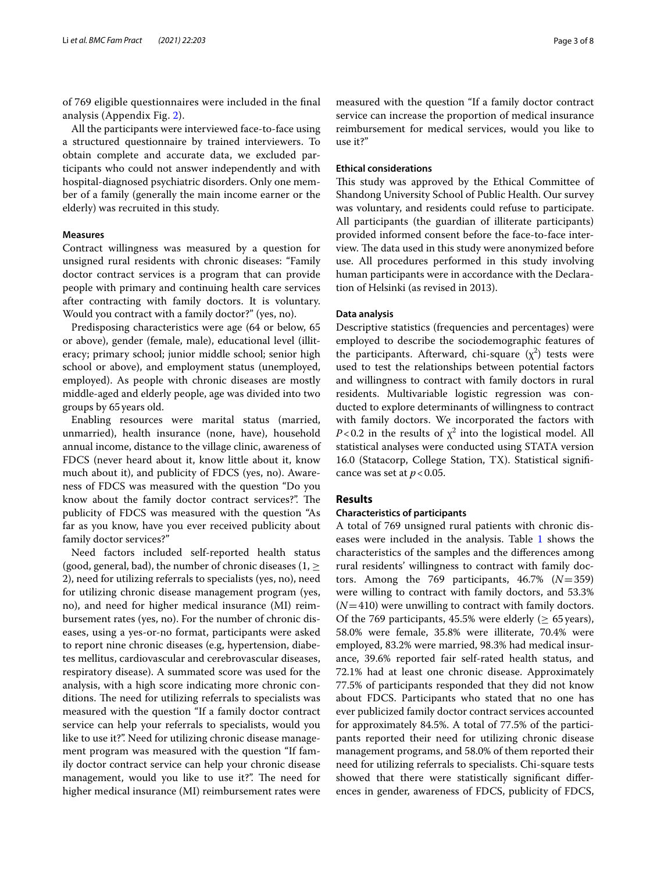of 769 eligible questionnaires were included in the fnal analysis (Appendix Fig. [2\)](#page-5-1).

All the participants were interviewed face-to-face using a structured questionnaire by trained interviewers. To obtain complete and accurate data, we excluded participants who could not answer independently and with hospital-diagnosed psychiatric disorders. Only one member of a family (generally the main income earner or the elderly) was recruited in this study.

#### **Measures**

Contract willingness was measured by a question for unsigned rural residents with chronic diseases: "Family doctor contract services is a program that can provide people with primary and continuing health care services after contracting with family doctors. It is voluntary. Would you contract with a family doctor?" (yes, no).

Predisposing characteristics were age (64 or below, 65 or above), gender (female, male), educational level (illiteracy; primary school; junior middle school; senior high school or above), and employment status (unemployed, employed). As people with chronic diseases are mostly middle-aged and elderly people, age was divided into two groups by 65years old.

Enabling resources were marital status (married, unmarried), health insurance (none, have), household annual income, distance to the village clinic, awareness of FDCS (never heard about it, know little about it, know much about it), and publicity of FDCS (yes, no). Awareness of FDCS was measured with the question "Do you know about the family doctor contract services?". The publicity of FDCS was measured with the question "As far as you know, have you ever received publicity about family doctor services?"

Need factors included self-reported health status (good, general, bad), the number of chronic diseases (1,  $\geq$ 2), need for utilizing referrals to specialists (yes, no), need for utilizing chronic disease management program (yes, no), and need for higher medical insurance (MI) reimbursement rates (yes, no). For the number of chronic diseases, using a yes-or-no format, participants were asked to report nine chronic diseases (e.g, hypertension, diabetes mellitus, cardiovascular and cerebrovascular diseases, respiratory disease). A summated score was used for the analysis, with a high score indicating more chronic conditions. The need for utilizing referrals to specialists was measured with the question "If a family doctor contract service can help your referrals to specialists, would you like to use it?". Need for utilizing chronic disease management program was measured with the question "If family doctor contract service can help your chronic disease management, would you like to use it?". The need for higher medical insurance (MI) reimbursement rates were measured with the question "If a family doctor contract service can increase the proportion of medical insurance reimbursement for medical services, would you like to use it?"

#### **Ethical considerations**

This study was approved by the Ethical Committee of Shandong University School of Public Health. Our survey was voluntary, and residents could refuse to participate. All participants (the guardian of illiterate participants) provided informed consent before the face-to-face interview. The data used in this study were anonymized before use. All procedures performed in this study involving human participants were in accordance with the Declaration of Helsinki (as revised in 2013).

#### **Data analysis**

Descriptive statistics (frequencies and percentages) were employed to describe the sociodemographic features of the participants. Afterward, chi-square  $(\chi^2)$  tests were used to test the relationships between potential factors and willingness to contract with family doctors in rural residents. Multivariable logistic regression was conducted to explore determinants of willingness to contract with family doctors. We incorporated the factors with *P*<0.2 in the results of  $\chi^2$  into the logistical model. All statistical analyses were conducted using STATA version 16.0 (Statacorp, College Station, TX). Statistical signifcance was set at  $p < 0.05$ .

#### **Results**

#### **Characteristics of participants**

A total of 769 unsigned rural patients with chronic diseases were included in the analysis. Table [1](#page-3-0) shows the characteristics of the samples and the diferences among rural residents' willingness to contract with family doctors. Among the 769 participants, 46.7% (*N*=359) were willing to contract with family doctors, and 53.3% (*N*=410) were unwilling to contract with family doctors. Of the 769 participants, 45.5% were elderly ( $\geq$  65 years), 58.0% were female, 35.8% were illiterate, 70.4% were employed, 83.2% were married, 98.3% had medical insurance, 39.6% reported fair self-rated health status, and 72.1% had at least one chronic disease. Approximately 77.5% of participants responded that they did not know about FDCS. Participants who stated that no one has ever publicized family doctor contract services accounted for approximately 84.5%. A total of 77.5% of the participants reported their need for utilizing chronic disease management programs, and 58.0% of them reported their need for utilizing referrals to specialists. Chi-square tests showed that there were statistically signifcant diferences in gender, awareness of FDCS, publicity of FDCS,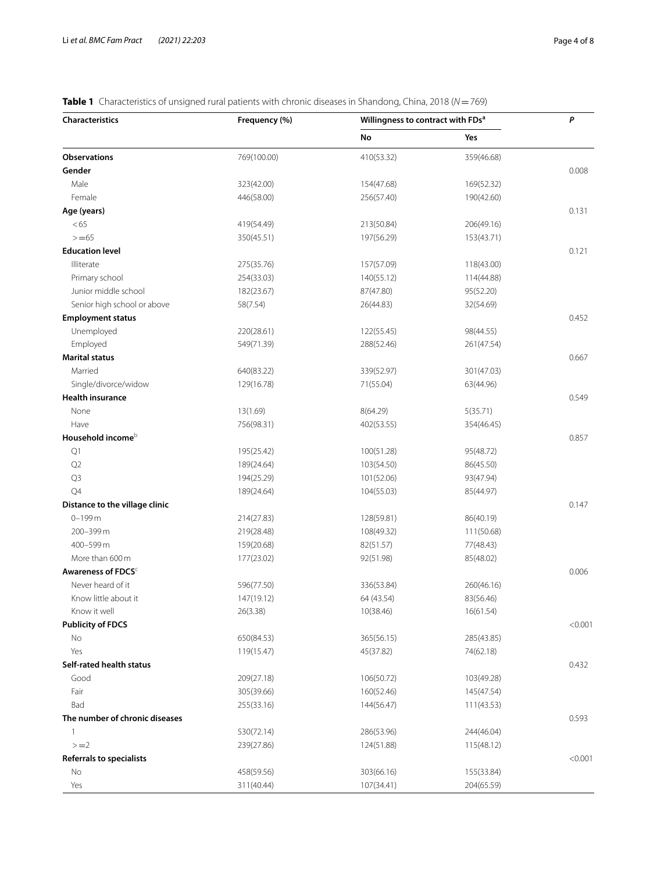# <span id="page-3-0"></span>**Table 1** Characteristics of unsigned rural patients with chronic diseases in Shandong, China, 2018 (*N*=769)

| No<br>Yes<br><b>Observations</b><br>769(100.00)<br>410(53.32)<br>359(46.68)<br>Gender<br>0.008<br>Male<br>323(42.00)<br>154(47.68)<br>169(52.32)<br>Female<br>446(58.00)<br>256(57.40)<br>190(42.60)<br>Age (years)<br>0.131<br><65<br>419(54.49)<br>213(50.84)<br>206(49.16)<br>$> = 65$<br>197(56.29)<br>350(45.51)<br>153(43.71)<br><b>Education level</b><br>0.121<br>Illiterate<br>275(35.76)<br>157(57.09)<br>118(43.00)<br>Primary school<br>254(33.03)<br>140(55.12)<br>114(44.88)<br>Junior middle school<br>182(23.67)<br>87(47.80)<br>95(52.20)<br>Senior high school or above<br>58(7.54)<br>26(44.83)<br>32(54.69)<br><b>Employment status</b><br>0.452<br>Unemployed<br>122(55.45)<br>220(28.61)<br>98(44.55)<br>Employed<br>549(71.39)<br>288(52.46)<br>261(47.54)<br><b>Marital status</b><br>0.667<br>Married<br>339(52.97)<br>640(83.22)<br>301(47.03)<br>Single/divorce/widow<br>129(16.78)<br>71(55.04)<br>63(44.96)<br><b>Health insurance</b><br>0.549<br>13(1.69)<br>None<br>8(64.29)<br>5(35.71)<br>Have<br>402(53.55)<br>756(98.31)<br>354(46.45)<br>Household income <sup>b</sup><br>0.857<br>Q1<br>195(25.42)<br>100(51.28)<br>95(48.72)<br>Q <sub>2</sub><br>189(24.64)<br>103(54.50)<br>86(45.50)<br>Q3<br>194(25.29)<br>101(52.06)<br>93(47.94)<br>Q4<br>104(55.03)<br>189(24.64)<br>85(44.97)<br>Distance to the village clinic<br>0.147<br>$0 - 199$ m<br>214(27.83)<br>128(59.81)<br>86(40.19)<br>200-399m<br>108(49.32)<br>219(28.48)<br>111(50.68)<br>400-599 m<br>82(51.57)<br>159(20.68)<br>77(48.43)<br>More than 600 m<br>177(23.02)<br>92(51.98)<br>85(48.02)<br>Awareness of FDCS <sup>c</sup><br>0.006<br>Never heard of it<br>336(53.84)<br>596(77.50)<br>260(46.16)<br>Know little about it<br>147(19.12)<br>64 (43.54)<br>83(56.46)<br>Know it well<br>10(38.46)<br>16(61.54)<br>26(3.38)<br><b>Publicity of FDCS</b><br>No<br>650(84.53)<br>365(56.15)<br>285(43.85)<br>Yes<br>119(15.47)<br>45(37.82)<br>74(62.18)<br>Self-rated health status<br>0.432<br>Good<br>209(27.18)<br>106(50.72)<br>103(49.28)<br>Fair<br>305(39.66)<br>160(52.46)<br>145(47.54)<br>Bad<br>255(33.16)<br>144(56.47)<br>111(43.53)<br>The number of chronic diseases<br>0.593<br>1<br>530(72.14)<br>286(53.96)<br>244(46.04)<br>$>=2$<br>239(27.86)<br>124(51.88)<br>115(48.12)<br><b>Referrals to specialists</b><br>No<br>458(59.56)<br>303(66.16)<br>155(33.84) | <b>Characteristics</b> | Frequency (%) | Willingness to contract with FDs <sup>a</sup> | P |         |
|---------------------------------------------------------------------------------------------------------------------------------------------------------------------------------------------------------------------------------------------------------------------------------------------------------------------------------------------------------------------------------------------------------------------------------------------------------------------------------------------------------------------------------------------------------------------------------------------------------------------------------------------------------------------------------------------------------------------------------------------------------------------------------------------------------------------------------------------------------------------------------------------------------------------------------------------------------------------------------------------------------------------------------------------------------------------------------------------------------------------------------------------------------------------------------------------------------------------------------------------------------------------------------------------------------------------------------------------------------------------------------------------------------------------------------------------------------------------------------------------------------------------------------------------------------------------------------------------------------------------------------------------------------------------------------------------------------------------------------------------------------------------------------------------------------------------------------------------------------------------------------------------------------------------------------------------------------------------------------------------------------------------------------------------------------------------------------------------------------------------------------------------------------------------------------------------------------------------------------------------------------------------------------------------------------------------------------------------------------------------------------------------|------------------------|---------------|-----------------------------------------------|---|---------|
|                                                                                                                                                                                                                                                                                                                                                                                                                                                                                                                                                                                                                                                                                                                                                                                                                                                                                                                                                                                                                                                                                                                                                                                                                                                                                                                                                                                                                                                                                                                                                                                                                                                                                                                                                                                                                                                                                                                                                                                                                                                                                                                                                                                                                                                                                                                                                                                             |                        |               |                                               |   |         |
|                                                                                                                                                                                                                                                                                                                                                                                                                                                                                                                                                                                                                                                                                                                                                                                                                                                                                                                                                                                                                                                                                                                                                                                                                                                                                                                                                                                                                                                                                                                                                                                                                                                                                                                                                                                                                                                                                                                                                                                                                                                                                                                                                                                                                                                                                                                                                                                             |                        |               |                                               |   |         |
|                                                                                                                                                                                                                                                                                                                                                                                                                                                                                                                                                                                                                                                                                                                                                                                                                                                                                                                                                                                                                                                                                                                                                                                                                                                                                                                                                                                                                                                                                                                                                                                                                                                                                                                                                                                                                                                                                                                                                                                                                                                                                                                                                                                                                                                                                                                                                                                             |                        |               |                                               |   |         |
|                                                                                                                                                                                                                                                                                                                                                                                                                                                                                                                                                                                                                                                                                                                                                                                                                                                                                                                                                                                                                                                                                                                                                                                                                                                                                                                                                                                                                                                                                                                                                                                                                                                                                                                                                                                                                                                                                                                                                                                                                                                                                                                                                                                                                                                                                                                                                                                             |                        |               |                                               |   |         |
|                                                                                                                                                                                                                                                                                                                                                                                                                                                                                                                                                                                                                                                                                                                                                                                                                                                                                                                                                                                                                                                                                                                                                                                                                                                                                                                                                                                                                                                                                                                                                                                                                                                                                                                                                                                                                                                                                                                                                                                                                                                                                                                                                                                                                                                                                                                                                                                             |                        |               |                                               |   |         |
|                                                                                                                                                                                                                                                                                                                                                                                                                                                                                                                                                                                                                                                                                                                                                                                                                                                                                                                                                                                                                                                                                                                                                                                                                                                                                                                                                                                                                                                                                                                                                                                                                                                                                                                                                                                                                                                                                                                                                                                                                                                                                                                                                                                                                                                                                                                                                                                             |                        |               |                                               |   |         |
|                                                                                                                                                                                                                                                                                                                                                                                                                                                                                                                                                                                                                                                                                                                                                                                                                                                                                                                                                                                                                                                                                                                                                                                                                                                                                                                                                                                                                                                                                                                                                                                                                                                                                                                                                                                                                                                                                                                                                                                                                                                                                                                                                                                                                                                                                                                                                                                             |                        |               |                                               |   |         |
|                                                                                                                                                                                                                                                                                                                                                                                                                                                                                                                                                                                                                                                                                                                                                                                                                                                                                                                                                                                                                                                                                                                                                                                                                                                                                                                                                                                                                                                                                                                                                                                                                                                                                                                                                                                                                                                                                                                                                                                                                                                                                                                                                                                                                                                                                                                                                                                             |                        |               |                                               |   |         |
|                                                                                                                                                                                                                                                                                                                                                                                                                                                                                                                                                                                                                                                                                                                                                                                                                                                                                                                                                                                                                                                                                                                                                                                                                                                                                                                                                                                                                                                                                                                                                                                                                                                                                                                                                                                                                                                                                                                                                                                                                                                                                                                                                                                                                                                                                                                                                                                             |                        |               |                                               |   |         |
|                                                                                                                                                                                                                                                                                                                                                                                                                                                                                                                                                                                                                                                                                                                                                                                                                                                                                                                                                                                                                                                                                                                                                                                                                                                                                                                                                                                                                                                                                                                                                                                                                                                                                                                                                                                                                                                                                                                                                                                                                                                                                                                                                                                                                                                                                                                                                                                             |                        |               |                                               |   |         |
|                                                                                                                                                                                                                                                                                                                                                                                                                                                                                                                                                                                                                                                                                                                                                                                                                                                                                                                                                                                                                                                                                                                                                                                                                                                                                                                                                                                                                                                                                                                                                                                                                                                                                                                                                                                                                                                                                                                                                                                                                                                                                                                                                                                                                                                                                                                                                                                             |                        |               |                                               |   |         |
|                                                                                                                                                                                                                                                                                                                                                                                                                                                                                                                                                                                                                                                                                                                                                                                                                                                                                                                                                                                                                                                                                                                                                                                                                                                                                                                                                                                                                                                                                                                                                                                                                                                                                                                                                                                                                                                                                                                                                                                                                                                                                                                                                                                                                                                                                                                                                                                             |                        |               |                                               |   |         |
|                                                                                                                                                                                                                                                                                                                                                                                                                                                                                                                                                                                                                                                                                                                                                                                                                                                                                                                                                                                                                                                                                                                                                                                                                                                                                                                                                                                                                                                                                                                                                                                                                                                                                                                                                                                                                                                                                                                                                                                                                                                                                                                                                                                                                                                                                                                                                                                             |                        |               |                                               |   |         |
|                                                                                                                                                                                                                                                                                                                                                                                                                                                                                                                                                                                                                                                                                                                                                                                                                                                                                                                                                                                                                                                                                                                                                                                                                                                                                                                                                                                                                                                                                                                                                                                                                                                                                                                                                                                                                                                                                                                                                                                                                                                                                                                                                                                                                                                                                                                                                                                             |                        |               |                                               |   |         |
|                                                                                                                                                                                                                                                                                                                                                                                                                                                                                                                                                                                                                                                                                                                                                                                                                                                                                                                                                                                                                                                                                                                                                                                                                                                                                                                                                                                                                                                                                                                                                                                                                                                                                                                                                                                                                                                                                                                                                                                                                                                                                                                                                                                                                                                                                                                                                                                             |                        |               |                                               |   |         |
|                                                                                                                                                                                                                                                                                                                                                                                                                                                                                                                                                                                                                                                                                                                                                                                                                                                                                                                                                                                                                                                                                                                                                                                                                                                                                                                                                                                                                                                                                                                                                                                                                                                                                                                                                                                                                                                                                                                                                                                                                                                                                                                                                                                                                                                                                                                                                                                             |                        |               |                                               |   |         |
|                                                                                                                                                                                                                                                                                                                                                                                                                                                                                                                                                                                                                                                                                                                                                                                                                                                                                                                                                                                                                                                                                                                                                                                                                                                                                                                                                                                                                                                                                                                                                                                                                                                                                                                                                                                                                                                                                                                                                                                                                                                                                                                                                                                                                                                                                                                                                                                             |                        |               |                                               |   |         |
|                                                                                                                                                                                                                                                                                                                                                                                                                                                                                                                                                                                                                                                                                                                                                                                                                                                                                                                                                                                                                                                                                                                                                                                                                                                                                                                                                                                                                                                                                                                                                                                                                                                                                                                                                                                                                                                                                                                                                                                                                                                                                                                                                                                                                                                                                                                                                                                             |                        |               |                                               |   |         |
|                                                                                                                                                                                                                                                                                                                                                                                                                                                                                                                                                                                                                                                                                                                                                                                                                                                                                                                                                                                                                                                                                                                                                                                                                                                                                                                                                                                                                                                                                                                                                                                                                                                                                                                                                                                                                                                                                                                                                                                                                                                                                                                                                                                                                                                                                                                                                                                             |                        |               |                                               |   |         |
|                                                                                                                                                                                                                                                                                                                                                                                                                                                                                                                                                                                                                                                                                                                                                                                                                                                                                                                                                                                                                                                                                                                                                                                                                                                                                                                                                                                                                                                                                                                                                                                                                                                                                                                                                                                                                                                                                                                                                                                                                                                                                                                                                                                                                                                                                                                                                                                             |                        |               |                                               |   |         |
|                                                                                                                                                                                                                                                                                                                                                                                                                                                                                                                                                                                                                                                                                                                                                                                                                                                                                                                                                                                                                                                                                                                                                                                                                                                                                                                                                                                                                                                                                                                                                                                                                                                                                                                                                                                                                                                                                                                                                                                                                                                                                                                                                                                                                                                                                                                                                                                             |                        |               |                                               |   |         |
|                                                                                                                                                                                                                                                                                                                                                                                                                                                                                                                                                                                                                                                                                                                                                                                                                                                                                                                                                                                                                                                                                                                                                                                                                                                                                                                                                                                                                                                                                                                                                                                                                                                                                                                                                                                                                                                                                                                                                                                                                                                                                                                                                                                                                                                                                                                                                                                             |                        |               |                                               |   |         |
|                                                                                                                                                                                                                                                                                                                                                                                                                                                                                                                                                                                                                                                                                                                                                                                                                                                                                                                                                                                                                                                                                                                                                                                                                                                                                                                                                                                                                                                                                                                                                                                                                                                                                                                                                                                                                                                                                                                                                                                                                                                                                                                                                                                                                                                                                                                                                                                             |                        |               |                                               |   |         |
|                                                                                                                                                                                                                                                                                                                                                                                                                                                                                                                                                                                                                                                                                                                                                                                                                                                                                                                                                                                                                                                                                                                                                                                                                                                                                                                                                                                                                                                                                                                                                                                                                                                                                                                                                                                                                                                                                                                                                                                                                                                                                                                                                                                                                                                                                                                                                                                             |                        |               |                                               |   |         |
|                                                                                                                                                                                                                                                                                                                                                                                                                                                                                                                                                                                                                                                                                                                                                                                                                                                                                                                                                                                                                                                                                                                                                                                                                                                                                                                                                                                                                                                                                                                                                                                                                                                                                                                                                                                                                                                                                                                                                                                                                                                                                                                                                                                                                                                                                                                                                                                             |                        |               |                                               |   |         |
|                                                                                                                                                                                                                                                                                                                                                                                                                                                                                                                                                                                                                                                                                                                                                                                                                                                                                                                                                                                                                                                                                                                                                                                                                                                                                                                                                                                                                                                                                                                                                                                                                                                                                                                                                                                                                                                                                                                                                                                                                                                                                                                                                                                                                                                                                                                                                                                             |                        |               |                                               |   |         |
|                                                                                                                                                                                                                                                                                                                                                                                                                                                                                                                                                                                                                                                                                                                                                                                                                                                                                                                                                                                                                                                                                                                                                                                                                                                                                                                                                                                                                                                                                                                                                                                                                                                                                                                                                                                                                                                                                                                                                                                                                                                                                                                                                                                                                                                                                                                                                                                             |                        |               |                                               |   |         |
|                                                                                                                                                                                                                                                                                                                                                                                                                                                                                                                                                                                                                                                                                                                                                                                                                                                                                                                                                                                                                                                                                                                                                                                                                                                                                                                                                                                                                                                                                                                                                                                                                                                                                                                                                                                                                                                                                                                                                                                                                                                                                                                                                                                                                                                                                                                                                                                             |                        |               |                                               |   |         |
|                                                                                                                                                                                                                                                                                                                                                                                                                                                                                                                                                                                                                                                                                                                                                                                                                                                                                                                                                                                                                                                                                                                                                                                                                                                                                                                                                                                                                                                                                                                                                                                                                                                                                                                                                                                                                                                                                                                                                                                                                                                                                                                                                                                                                                                                                                                                                                                             |                        |               |                                               |   |         |
|                                                                                                                                                                                                                                                                                                                                                                                                                                                                                                                                                                                                                                                                                                                                                                                                                                                                                                                                                                                                                                                                                                                                                                                                                                                                                                                                                                                                                                                                                                                                                                                                                                                                                                                                                                                                                                                                                                                                                                                                                                                                                                                                                                                                                                                                                                                                                                                             |                        |               |                                               |   |         |
|                                                                                                                                                                                                                                                                                                                                                                                                                                                                                                                                                                                                                                                                                                                                                                                                                                                                                                                                                                                                                                                                                                                                                                                                                                                                                                                                                                                                                                                                                                                                                                                                                                                                                                                                                                                                                                                                                                                                                                                                                                                                                                                                                                                                                                                                                                                                                                                             |                        |               |                                               |   |         |
|                                                                                                                                                                                                                                                                                                                                                                                                                                                                                                                                                                                                                                                                                                                                                                                                                                                                                                                                                                                                                                                                                                                                                                                                                                                                                                                                                                                                                                                                                                                                                                                                                                                                                                                                                                                                                                                                                                                                                                                                                                                                                                                                                                                                                                                                                                                                                                                             |                        |               |                                               |   |         |
|                                                                                                                                                                                                                                                                                                                                                                                                                                                                                                                                                                                                                                                                                                                                                                                                                                                                                                                                                                                                                                                                                                                                                                                                                                                                                                                                                                                                                                                                                                                                                                                                                                                                                                                                                                                                                                                                                                                                                                                                                                                                                                                                                                                                                                                                                                                                                                                             |                        |               |                                               |   |         |
|                                                                                                                                                                                                                                                                                                                                                                                                                                                                                                                                                                                                                                                                                                                                                                                                                                                                                                                                                                                                                                                                                                                                                                                                                                                                                                                                                                                                                                                                                                                                                                                                                                                                                                                                                                                                                                                                                                                                                                                                                                                                                                                                                                                                                                                                                                                                                                                             |                        |               |                                               |   |         |
|                                                                                                                                                                                                                                                                                                                                                                                                                                                                                                                                                                                                                                                                                                                                                                                                                                                                                                                                                                                                                                                                                                                                                                                                                                                                                                                                                                                                                                                                                                                                                                                                                                                                                                                                                                                                                                                                                                                                                                                                                                                                                                                                                                                                                                                                                                                                                                                             |                        |               |                                               |   |         |
|                                                                                                                                                                                                                                                                                                                                                                                                                                                                                                                                                                                                                                                                                                                                                                                                                                                                                                                                                                                                                                                                                                                                                                                                                                                                                                                                                                                                                                                                                                                                                                                                                                                                                                                                                                                                                                                                                                                                                                                                                                                                                                                                                                                                                                                                                                                                                                                             |                        |               |                                               |   |         |
|                                                                                                                                                                                                                                                                                                                                                                                                                                                                                                                                                                                                                                                                                                                                                                                                                                                                                                                                                                                                                                                                                                                                                                                                                                                                                                                                                                                                                                                                                                                                                                                                                                                                                                                                                                                                                                                                                                                                                                                                                                                                                                                                                                                                                                                                                                                                                                                             |                        |               |                                               |   |         |
|                                                                                                                                                                                                                                                                                                                                                                                                                                                                                                                                                                                                                                                                                                                                                                                                                                                                                                                                                                                                                                                                                                                                                                                                                                                                                                                                                                                                                                                                                                                                                                                                                                                                                                                                                                                                                                                                                                                                                                                                                                                                                                                                                                                                                                                                                                                                                                                             |                        |               |                                               |   | < 0.001 |
|                                                                                                                                                                                                                                                                                                                                                                                                                                                                                                                                                                                                                                                                                                                                                                                                                                                                                                                                                                                                                                                                                                                                                                                                                                                                                                                                                                                                                                                                                                                                                                                                                                                                                                                                                                                                                                                                                                                                                                                                                                                                                                                                                                                                                                                                                                                                                                                             |                        |               |                                               |   |         |
|                                                                                                                                                                                                                                                                                                                                                                                                                                                                                                                                                                                                                                                                                                                                                                                                                                                                                                                                                                                                                                                                                                                                                                                                                                                                                                                                                                                                                                                                                                                                                                                                                                                                                                                                                                                                                                                                                                                                                                                                                                                                                                                                                                                                                                                                                                                                                                                             |                        |               |                                               |   |         |
|                                                                                                                                                                                                                                                                                                                                                                                                                                                                                                                                                                                                                                                                                                                                                                                                                                                                                                                                                                                                                                                                                                                                                                                                                                                                                                                                                                                                                                                                                                                                                                                                                                                                                                                                                                                                                                                                                                                                                                                                                                                                                                                                                                                                                                                                                                                                                                                             |                        |               |                                               |   |         |
|                                                                                                                                                                                                                                                                                                                                                                                                                                                                                                                                                                                                                                                                                                                                                                                                                                                                                                                                                                                                                                                                                                                                                                                                                                                                                                                                                                                                                                                                                                                                                                                                                                                                                                                                                                                                                                                                                                                                                                                                                                                                                                                                                                                                                                                                                                                                                                                             |                        |               |                                               |   |         |
|                                                                                                                                                                                                                                                                                                                                                                                                                                                                                                                                                                                                                                                                                                                                                                                                                                                                                                                                                                                                                                                                                                                                                                                                                                                                                                                                                                                                                                                                                                                                                                                                                                                                                                                                                                                                                                                                                                                                                                                                                                                                                                                                                                                                                                                                                                                                                                                             |                        |               |                                               |   |         |
|                                                                                                                                                                                                                                                                                                                                                                                                                                                                                                                                                                                                                                                                                                                                                                                                                                                                                                                                                                                                                                                                                                                                                                                                                                                                                                                                                                                                                                                                                                                                                                                                                                                                                                                                                                                                                                                                                                                                                                                                                                                                                                                                                                                                                                                                                                                                                                                             |                        |               |                                               |   |         |
|                                                                                                                                                                                                                                                                                                                                                                                                                                                                                                                                                                                                                                                                                                                                                                                                                                                                                                                                                                                                                                                                                                                                                                                                                                                                                                                                                                                                                                                                                                                                                                                                                                                                                                                                                                                                                                                                                                                                                                                                                                                                                                                                                                                                                                                                                                                                                                                             |                        |               |                                               |   |         |
|                                                                                                                                                                                                                                                                                                                                                                                                                                                                                                                                                                                                                                                                                                                                                                                                                                                                                                                                                                                                                                                                                                                                                                                                                                                                                                                                                                                                                                                                                                                                                                                                                                                                                                                                                                                                                                                                                                                                                                                                                                                                                                                                                                                                                                                                                                                                                                                             |                        |               |                                               |   |         |
|                                                                                                                                                                                                                                                                                                                                                                                                                                                                                                                                                                                                                                                                                                                                                                                                                                                                                                                                                                                                                                                                                                                                                                                                                                                                                                                                                                                                                                                                                                                                                                                                                                                                                                                                                                                                                                                                                                                                                                                                                                                                                                                                                                                                                                                                                                                                                                                             |                        |               |                                               |   |         |
|                                                                                                                                                                                                                                                                                                                                                                                                                                                                                                                                                                                                                                                                                                                                                                                                                                                                                                                                                                                                                                                                                                                                                                                                                                                                                                                                                                                                                                                                                                                                                                                                                                                                                                                                                                                                                                                                                                                                                                                                                                                                                                                                                                                                                                                                                                                                                                                             |                        |               |                                               |   | < 0.001 |
|                                                                                                                                                                                                                                                                                                                                                                                                                                                                                                                                                                                                                                                                                                                                                                                                                                                                                                                                                                                                                                                                                                                                                                                                                                                                                                                                                                                                                                                                                                                                                                                                                                                                                                                                                                                                                                                                                                                                                                                                                                                                                                                                                                                                                                                                                                                                                                                             |                        |               |                                               |   |         |
| 107(34.41)<br>Yes<br>311(40.44)<br>204(65.59)                                                                                                                                                                                                                                                                                                                                                                                                                                                                                                                                                                                                                                                                                                                                                                                                                                                                                                                                                                                                                                                                                                                                                                                                                                                                                                                                                                                                                                                                                                                                                                                                                                                                                                                                                                                                                                                                                                                                                                                                                                                                                                                                                                                                                                                                                                                                               |                        |               |                                               |   |         |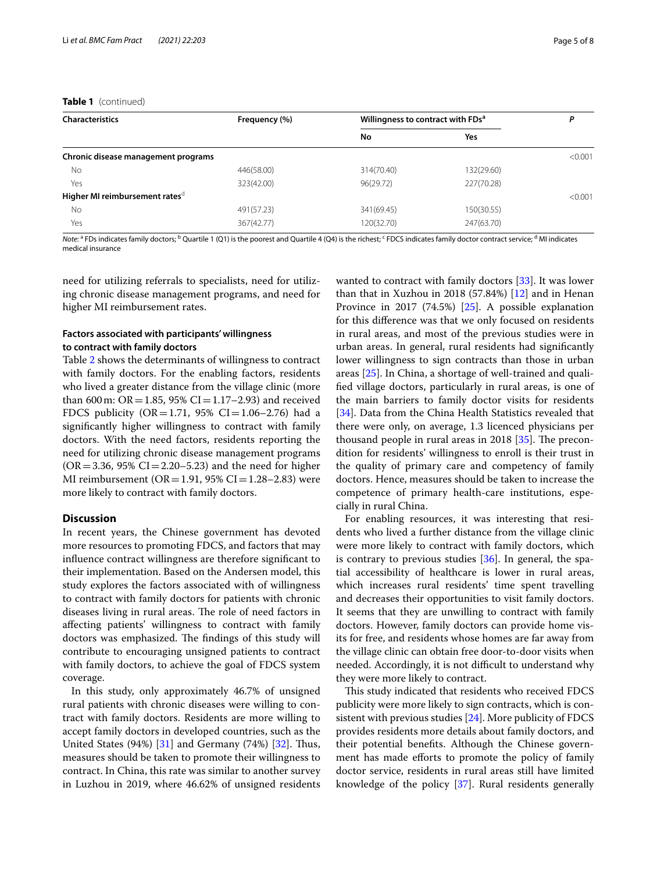#### **Table 1** (continued)

| <b>Characteristics</b>                     | Frequency (%) | Willingness to contract with FDs <sup>a</sup> | Ρ          |         |
|--------------------------------------------|---------------|-----------------------------------------------|------------|---------|
|                                            |               | No                                            | Yes        |         |
| Chronic disease management programs        |               |                                               |            | < 0.001 |
| No                                         | 446(58.00)    | 314(70.40)                                    | 132(29.60) |         |
| Yes                                        | 323(42.00)    | 96(29.72)                                     | 227(70.28) |         |
| Higher MI reimbursement rates <sup>d</sup> |               |                                               |            | < 0.001 |
| <b>No</b>                                  | 491(57.23)    | 341(69.45)                                    | 150(30.55) |         |
| Yes                                        | 367(42.77)    | 120(32.70)                                    | 247(63.70) |         |

*Note*: <sup>a</sup> FDs indicates family doctors; <sup>b</sup> Quartile 1 (Q1) is the poorest and Quartile 4 (Q4) is the richest; <sup>c</sup> FDCS indicates family doctor contract service; <sup>d</sup> MI indicates medical insurance

need for utilizing referrals to specialists, need for utilizing chronic disease management programs, and need for higher MI reimbursement rates.

#### **Factors associated with participants' willingness to contract with family doctors**

Table [2](#page-5-2) shows the determinants of willingness to contract with family doctors. For the enabling factors, residents who lived a greater distance from the village clinic (more than 600 m:  $OR = 1.85$ , 95%  $CI = 1.17 - 2.93$ ) and received FDCS publicity (OR = 1.71, 95% CI = 1.06–2.76) had a signifcantly higher willingness to contract with family doctors. With the need factors, residents reporting the need for utilizing chronic disease management programs  $(OR = 3.36, 95\% CI = 2.20 - 5.23)$  and the need for higher MI reimbursement ( $OR = 1.91$ , 95%  $CI = 1.28 - 2.83$ ) were more likely to contract with family doctors.

#### **Discussion**

In recent years, the Chinese government has devoted more resources to promoting FDCS, and factors that may infuence contract willingness are therefore signifcant to their implementation. Based on the Andersen model, this study explores the factors associated with of willingness to contract with family doctors for patients with chronic diseases living in rural areas. The role of need factors in afecting patients' willingness to contract with family doctors was emphasized. The findings of this study will contribute to encouraging unsigned patients to contract with family doctors, to achieve the goal of FDCS system coverage.

In this study, only approximately 46.7% of unsigned rural patients with chronic diseases were willing to contract with family doctors. Residents are more willing to accept family doctors in developed countries, such as the United States  $(94%)$   $[31]$  $[31]$  $[31]$  and Germany  $(74%)$   $[32]$  $[32]$ . Thus, measures should be taken to promote their willingness to contract. In China, this rate was similar to another survey in Luzhou in 2019, where 46.62% of unsigned residents wanted to contract with family doctors [[33\]](#page-7-5). It was lower than that in Xuzhou in 2018 (57.84%) [\[12](#page-6-11)] and in Henan Province in 2017 (74.5%) [\[25\]](#page-6-21). A possible explanation for this diference was that we only focused on residents in rural areas, and most of the previous studies were in urban areas. In general, rural residents had signifcantly lower willingness to sign contracts than those in urban areas [\[25](#page-6-21)]. In China, a shortage of well-trained and qualifed village doctors, particularly in rural areas, is one of the main barriers to family doctor visits for residents [[34\]](#page-7-6). Data from the China Health Statistics revealed that there were only, on average, 1.3 licenced physicians per thousand people in rural areas in 2018  $[35]$ . The precondition for residents' willingness to enroll is their trust in the quality of primary care and competency of family doctors. Hence, measures should be taken to increase the competence of primary health-care institutions, especially in rural China.

For enabling resources, it was interesting that residents who lived a further distance from the village clinic were more likely to contract with family doctors, which is contrary to previous studies [[36](#page-7-8)]. In general, the spatial accessibility of healthcare is lower in rural areas, which increases rural residents' time spent travelling and decreases their opportunities to visit family doctors. It seems that they are unwilling to contract with family doctors. However, family doctors can provide home visits for free, and residents whose homes are far away from the village clinic can obtain free door-to-door visits when needed. Accordingly, it is not difficult to understand why they were more likely to contract.

This study indicated that residents who received FDCS publicity were more likely to sign contracts, which is consistent with previous studies [[24](#page-6-18)]. More publicity of FDCS provides residents more details about family doctors, and their potential benefts. Although the Chinese government has made efforts to promote the policy of family doctor service, residents in rural areas still have limited knowledge of the policy [[37\]](#page-7-9). Rural residents generally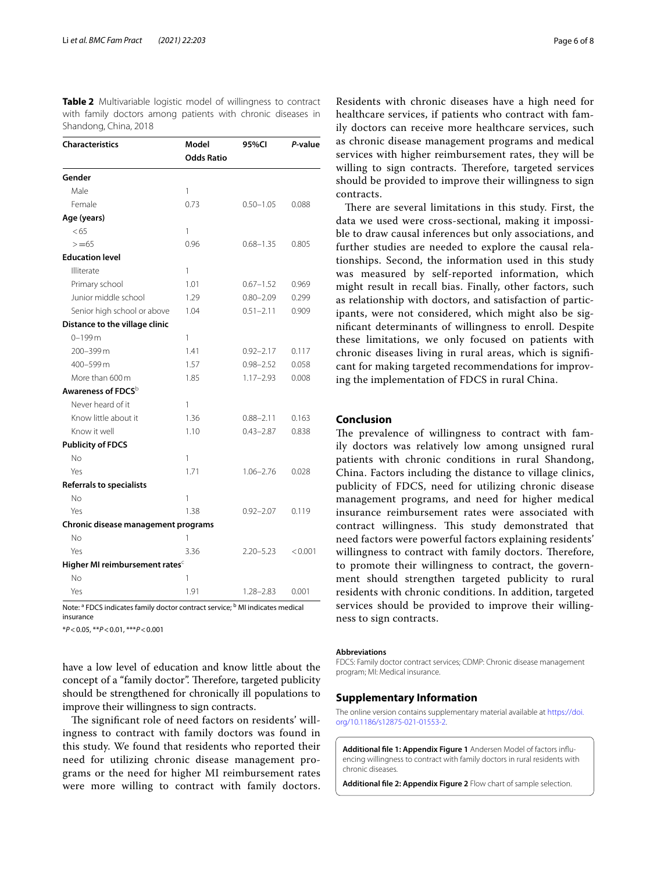<span id="page-5-2"></span>

|  |                       |  |  | <b>Table 2</b> Multivariable logistic model of willingness to contract |  |
|--|-----------------------|--|--|------------------------------------------------------------------------|--|
|  |                       |  |  | with family doctors among patients with chronic diseases in            |  |
|  | Shandong, China, 2018 |  |  |                                                                        |  |

| <b>Characteristics</b>                     | Model<br><b>Odds Ratio</b> | 95%CI         | P-value |
|--------------------------------------------|----------------------------|---------------|---------|
| Gender                                     |                            |               |         |
| Male                                       | 1                          |               |         |
| Female                                     | 0.73                       | $0.50 - 1.05$ | 0.088   |
| Age (years)                                |                            |               |         |
| < 65                                       | 1                          |               |         |
| $>= 65$                                    | 0.96                       | $0.68 - 1.35$ | 0.805   |
| <b>Education level</b>                     |                            |               |         |
| Illiterate                                 | 1                          |               |         |
| Primary school                             | 1.01                       | $0.67 - 1.52$ | 0.969   |
| Junior middle school                       | 1.29                       | $0.80 - 2.09$ | 0.299   |
| Senior high school or above                | 1.04                       | $0.51 - 2.11$ | 0.909   |
| Distance to the village clinic             |                            |               |         |
| $0 - 199$ m                                | 1                          |               |         |
| 200-399 m                                  | 1.41                       | $0.92 - 2.17$ | 0.117   |
| 400-599 m                                  | 1.57                       | $0.98 - 2.52$ | 0.058   |
| More than 600 m                            | 1.85                       | $1.17 - 2.93$ | 0.008   |
| Awareness of FDCS <sup>b</sup>             |                            |               |         |
| Never heard of it                          | 1                          |               |         |
| Know little about it                       | 1.36                       | $0.88 - 2.11$ | 0.163   |
| Know it well                               | 1.10                       | $0.43 - 2.87$ | 0.838   |
| <b>Publicity of FDCS</b>                   |                            |               |         |
| No                                         | 1                          |               |         |
| Yes                                        | 1.71                       | $1.06 - 2.76$ | 0.028   |
| <b>Referrals to specialists</b>            |                            |               |         |
| No                                         | 1                          |               |         |
| Yes                                        | 1.38                       | $0.92 - 2.07$ | 0.119   |
| Chronic disease management programs        |                            |               |         |
| No                                         | 1                          |               |         |
| Yes                                        | 3.36                       | $2.20 - 5.23$ | < 0.001 |
| Higher MI reimbursement rates <sup>c</sup> |                            |               |         |
| <b>No</b>                                  | 1                          |               |         |
| Yes                                        | 1.91                       | $1.28 - 2.83$ | 0.001   |

Note: <sup>a</sup> FDCS indicates family doctor contract service; <sup>b</sup> MI indicates medical insurance

\**P*<0.05, \*\**P*<0.01, \*\*\**P*<0.001

have a low level of education and know little about the concept of a "family doctor". Therefore, targeted publicity should be strengthened for chronically ill populations to improve their willingness to sign contracts.

The significant role of need factors on residents' willingness to contract with family doctors was found in this study. We found that residents who reported their need for utilizing chronic disease management programs or the need for higher MI reimbursement rates were more willing to contract with family doctors. Residents with chronic diseases have a high need for healthcare services, if patients who contract with family doctors can receive more healthcare services, such as chronic disease management programs and medical services with higher reimbursement rates, they will be willing to sign contracts. Therefore, targeted services should be provided to improve their willingness to sign contracts.

There are several limitations in this study. First, the data we used were cross-sectional, making it impossible to draw causal inferences but only associations, and further studies are needed to explore the causal relationships. Second, the information used in this study was measured by self-reported information, which might result in recall bias. Finally, other factors, such as relationship with doctors, and satisfaction of participants, were not considered, which might also be signifcant determinants of willingness to enroll. Despite these limitations, we only focused on patients with chronic diseases living in rural areas, which is signifcant for making targeted recommendations for improving the implementation of FDCS in rural China.

### **Conclusion**

The prevalence of willingness to contract with family doctors was relatively low among unsigned rural patients with chronic conditions in rural Shandong, China. Factors including the distance to village clinics, publicity of FDCS, need for utilizing chronic disease management programs, and need for higher medical insurance reimbursement rates were associated with contract willingness. This study demonstrated that need factors were powerful factors explaining residents' willingness to contract with family doctors. Therefore, to promote their willingness to contract, the government should strengthen targeted publicity to rural residents with chronic conditions. In addition, targeted services should be provided to improve their willingness to sign contracts.

#### **Abbreviations**

FDCS: Family doctor contract services; CDMP: Chronic disease management program; MI: Medical insurance.

#### **Supplementary Information**

The online version contains supplementary material available at [https://doi.](https://doi.org/10.1186/s12875-021-01553-2) [org/10.1186/s12875-021-01553-2](https://doi.org/10.1186/s12875-021-01553-2).

<span id="page-5-0"></span>**Additional fle 1: Appendix Figure 1** Andersen Model of factors infuencing willingness to contract with family doctors in rural residents with chronic diseases.

<span id="page-5-1"></span>**Additional fle 2: Appendix Figure 2** Flow chart of sample selection.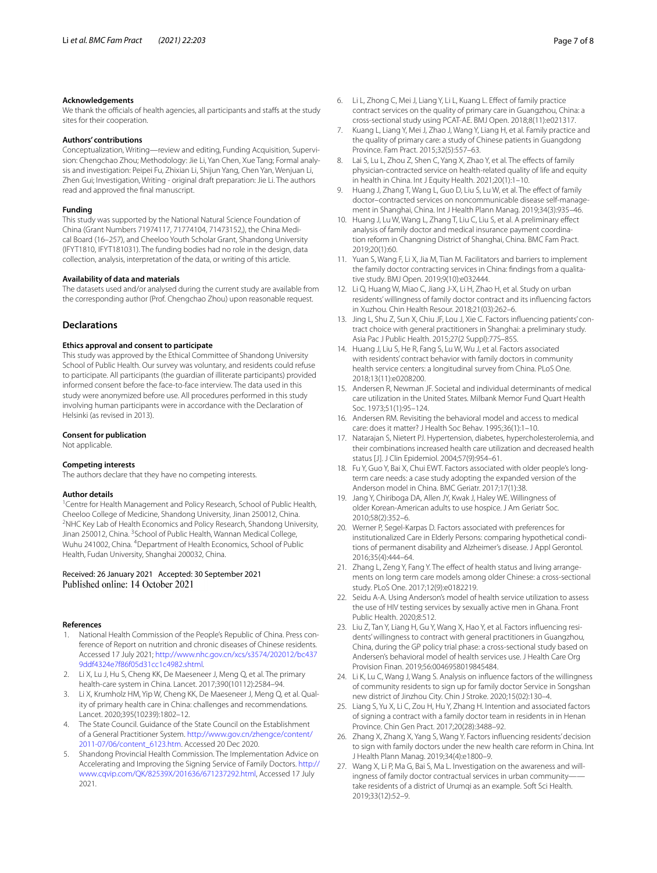#### **Acknowledgements**

We thank the officials of health agencies, all participants and staffs at the study sites for their cooperation.

#### **Authors' contributions**

Conceptualization, Writing—review and editing, Funding Acquisition, Supervision: Chengchao Zhou; Methodology: Jie Li, Yan Chen, Xue Tang; Formal analysis and investigation: Peipei Fu, Zhixian Li, Shijun Yang, Chen Yan, Wenjuan Li, Zhen Gui; Investigation, Writing - original draft preparation: Jie Li. The authors read and approved the fnal manuscript.

#### **Funding**

This study was supported by the National Natural Science Foundation of China (Grant Numbers 71974117, 71774104, 71473152,), the China Medical Board (16–257), and Cheeloo Youth Scholar Grant, Shandong University (IFYT1810, IFYT181031). The funding bodies had no role in the design, data collection, analysis, interpretation of the data, or writing of this article.

#### **Availability of data and materials**

The datasets used and/or analysed during the current study are available from the corresponding author (Prof. Chengchao Zhou) upon reasonable request.

#### **Declarations**

#### **Ethics approval and consent to participate**

This study was approved by the Ethical Committee of Shandong University School of Public Health. Our survey was voluntary, and residents could refuse to participate. All participants (the guardian of illiterate participants) provided informed consent before the face-to-face interview. The data used in this study were anonymized before use. All procedures performed in this study involving human participants were in accordance with the Declaration of Helsinki (as revised in 2013).

#### **Consent for publication**

Not applicable.

#### **Competing interests**

The authors declare that they have no competing interests.

#### **Author details**

<sup>1</sup> Centre for Health Management and Policy Research, School of Public Health, Cheeloo College of Medicine, Shandong University, Jinan 250012, China. 2 <sup>2</sup>NHC Key Lab of Health Economics and Policy Research, Shandong University, Jinan 250012, China. <sup>3</sup> School of Public Health, Wannan Medical College, Wuhu 241002, China. <sup>4</sup> Department of Health Economics, School of Public Health, Fudan University, Shanghai 200032, China.

#### Received: 26 January 2021 Accepted: 30 September 2021 Published online: 14 October 2021

#### **References**

- <span id="page-6-0"></span>1. National Health Commission of the People's Republic of China. Press conference of Report on nutrition and chronic diseases of Chinese residents. Accessed 17 July 2021; [http://www.nhc.gov.cn/xcs/s3574/202012/bc437](http://www.nhc.gov.cn/xcs/s3574/202012/bc4379ddf4324e7f86f05d31cc1c4982.shtml) [9ddf4324e7f86f05d31cc1c4982.shtml.](http://www.nhc.gov.cn/xcs/s3574/202012/bc4379ddf4324e7f86f05d31cc1c4982.shtml)
- <span id="page-6-1"></span>2. Li X, Lu J, Hu S, Cheng KK, De Maeseneer J, Meng Q, et al. The primary health-care system in China. Lancet. 2017;390(10112):2584–94.
- <span id="page-6-2"></span>3. Li X, Krumholz HM, Yip W, Cheng KK, De Maeseneer J, Meng Q, et al. Quality of primary health care in China: challenges and recommendations. Lancet. 2020;395(10239):1802–12.
- <span id="page-6-3"></span>4. The State Council. Guidance of the State Council on the Establishment of a General Practitioner System. [http://www.gov.cn/zhengce/content/](http://www.gov.cn/zhengce/content/2011-07/06/content_6123.htm) [2011-07/06/content\\_6123.htm](http://www.gov.cn/zhengce/content/2011-07/06/content_6123.htm). Accessed 20 Dec 2020.
- <span id="page-6-4"></span>5. Shandong Provincial Health Commission. The Implementation Advice on Accelerating and Improving the Signing Service of Family Doctors. [http://](http://www.cqvip.com/QK/82539X/201636/671237292.html) [www.cqvip.com/QK/82539X/201636/671237292.html](http://www.cqvip.com/QK/82539X/201636/671237292.html), Accessed 17 July 2021.
- <span id="page-6-5"></span>6. Li L, Zhong C, Mei J, Liang Y, Li L, Kuang L. Efect of family practice contract services on the quality of primary care in Guangzhou, China: a cross-sectional study using PCAT-AE. BMJ Open. 2018;8(11):e021317.
- <span id="page-6-6"></span>7. Kuang L, Liang Y, Mei J, Zhao J, Wang Y, Liang H, et al. Family practice and the quality of primary care: a study of Chinese patients in Guangdong Province. Fam Pract. 2015;32(5):557–63.
- <span id="page-6-7"></span>8. Lai S, Lu L, Zhou Z, Shen C, Yang X, Zhao Y, et al. The effects of family physician-contracted service on health-related quality of life and equity in health in China. Int J Equity Health. 2021;20(1):1–10.
- <span id="page-6-8"></span>9. Huang J, Zhang T, Wang L, Guo D, Liu S, Lu W, et al. The efect of family doctor–contracted services on noncommunicable disease self-management in Shanghai, China. Int J Health Plann Manag. 2019;34(3):935–46.
- <span id="page-6-9"></span>10. Huang J, Lu W, Wang L, Zhang T, Liu C, Liu S, et al. A preliminary efect analysis of family doctor and medical insurance payment coordination reform in Changning District of Shanghai, China. BMC Fam Pract. 2019;20(1):60.
- <span id="page-6-10"></span>11. Yuan S, Wang F, Li X, Jia M, Tian M. Facilitators and barriers to implement the family doctor contracting services in China: fndings from a qualitative study. BMJ Open. 2019;9(10):e032444.
- <span id="page-6-11"></span>12. Li Q, Huang W, Miao C, Jiang J-X, Li H, Zhao H, et al. Study on urban residents' willingness of family doctor contract and its infuencing factors in Xuzhou. Chin Health Resour. 2018;21(03):262–6.
- 13. Jing L, Shu Z, Sun X, Chiu JF, Lou J, Xie C. Factors infuencing patients' contract choice with general practitioners in Shanghai: a preliminary study. Asia Pac J Public Health. 2015;27(2 Suppl):77S–85S.
- <span id="page-6-12"></span>14. Huang J, Liu S, He R, Fang S, Lu W, Wu J, et al. Factors associated with residents' contract behavior with family doctors in community health service centers: a longitudinal survey from China. PLoS One. 2018;13(11):e0208200.
- <span id="page-6-13"></span>15. Andersen R, Newman JF. Societal and individual determinants of medical care utilization in the United States. Milbank Memor Fund Quart Health Soc. 1973;51(1):95-124
- <span id="page-6-14"></span>16. Andersen RM. Revisiting the behavioral model and access to medical care: does it matter? J Health Soc Behav. 1995;36(1):1–10.
- <span id="page-6-15"></span>17. Natarajan S, Nietert PJ. Hypertension, diabetes, hypercholesterolemia, and their combinations increased health care utilization and decreased health status [J]. J Clin Epidemiol. 2004;57(9):954–61.
- 18. Fu Y, Guo Y, Bai X, Chui EWT. Factors associated with older people's longterm care needs: a case study adopting the expanded version of the Anderson model in China. BMC Geriatr. 2017;17(1):38.
- 19. Jang Y, Chiriboga DA, Allen JY, Kwak J, Haley WE. Willingness of older Korean-American adults to use hospice. J Am Geriatr Soc. 2010;58(2):352–6.
- 20. Werner P, Segel-Karpas D. Factors associated with preferences for institutionalized Care in Elderly Persons: comparing hypothetical conditions of permanent disability and Alzheimer's disease. J Appl Gerontol. 2016;35(4):444–64.
- 21. Zhang L, Zeng Y, Fang Y. The effect of health status and living arrangements on long term care models among older Chinese: a cross-sectional study. PLoS One. 2017;12(9):e0182219.
- <span id="page-6-16"></span>22. Seidu A-A. Using Anderson's model of health service utilization to assess the use of HIV testing services by sexually active men in Ghana. Front Public Health. 2020;8:512.
- <span id="page-6-17"></span>23. Liu Z, Tan Y, Liang H, Gu Y, Wang X, Hao Y, et al. Factors infuencing residents' willingness to contract with general practitioners in Guangzhou, China, during the GP policy trial phase: a cross-sectional study based on Andersen's behavioral model of health services use. J Health Care Org Provision Finan. 2019;56:0046958019845484.
- <span id="page-6-18"></span>24. Li K, Lu C, Wang J, Wang S. Analysis on infuence factors of the willingness of community residents to sign up for family doctor Service in Songshan new district of Jinzhou City. Chin J Stroke. 2020;15(02):130–4.
- <span id="page-6-21"></span>25. Liang S, Yu X, Li C, Zou H, Hu Y, Zhang H. Intention and associated factors of signing a contract with a family doctor team in residents in in Henan Province. Chin Gen Pract. 2017;20(28):3488–92.
- <span id="page-6-19"></span>26. Zhang X, Zhang X, Yang S, Wang Y. Factors infuencing residents' decision to sign with family doctors under the new health care reform in China. Int J Health Plann Manag. 2019;34(4):e1800–9.
- <span id="page-6-20"></span>27. Wang X, Li P, Ma G, Bai S, Ma L. Investigation on the awareness and willingness of family doctor contractual services in urban communitytake residents of a district of Urumqi as an example. Soft Sci Health. 2019;33(12):52–9.